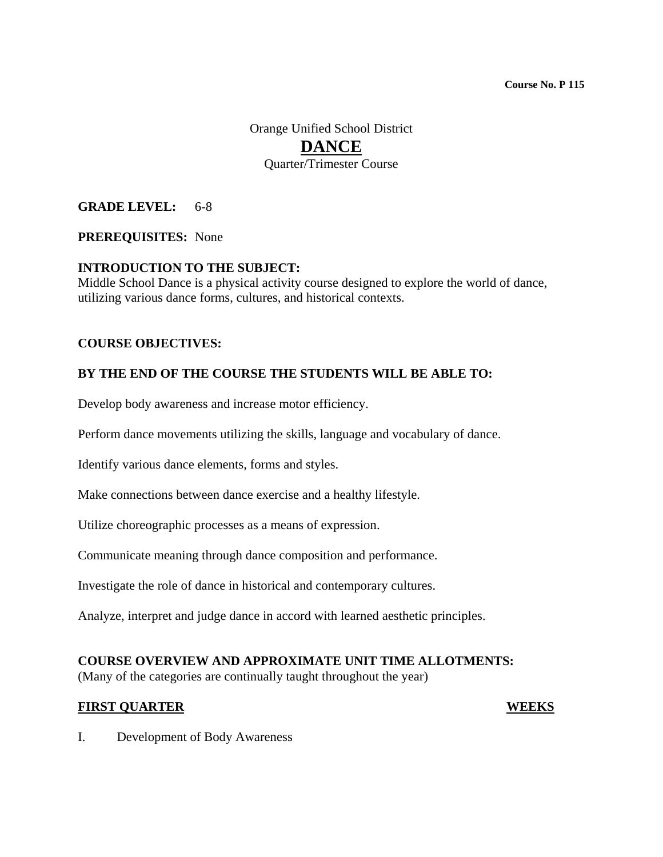Orange Unified School District **DANCE** Quarter/Trimester Course

## **GRADE LEVEL:** 6-8

#### **PREREQUISITES:** None

#### **INTRODUCTION TO THE SUBJECT:**

Middle School Dance is a physical activity course designed to explore the world of dance, utilizing various dance forms, cultures, and historical contexts.

#### **COURSE OBJECTIVES:**

#### **BY THE END OF THE COURSE THE STUDENTS WILL BE ABLE TO:**

Develop body awareness and increase motor efficiency.

Perform dance movements utilizing the skills, language and vocabulary of dance.

Identify various dance elements, forms and styles.

Make connections between dance exercise and a healthy lifestyle.

Utilize choreographic processes as a means of expression.

Communicate meaning through dance composition and performance.

Investigate the role of dance in historical and contemporary cultures.

Analyze, interpret and judge dance in accord with learned aesthetic principles.

#### **COURSE OVERVIEW AND APPROXIMATE UNIT TIME ALLOTMENTS:**

(Many of the categories are continually taught throughout the year)

#### **FIRST QUARTER WEEKS**

I. Development of Body Awareness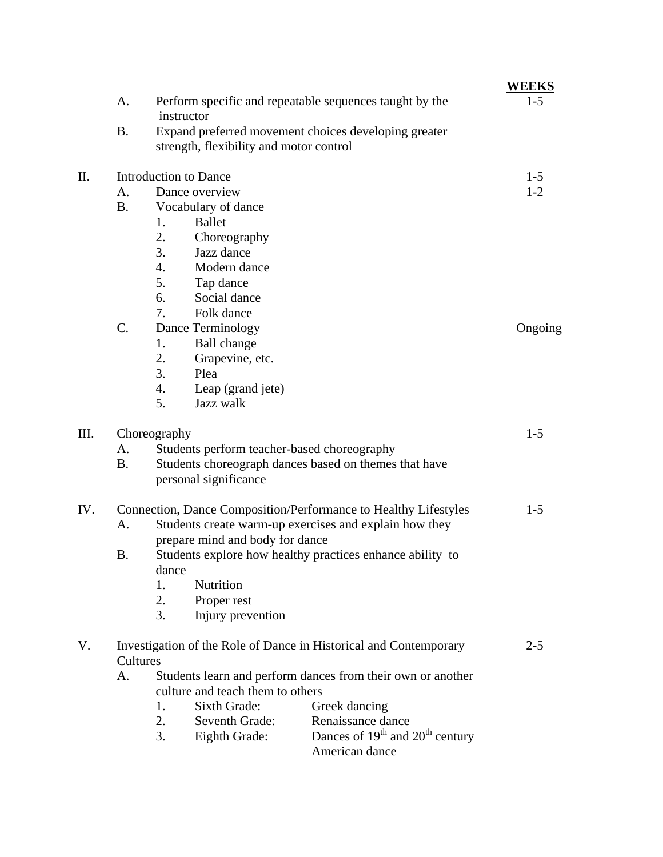|      |                                                                               |                                                                                | <u>WEEKS</u> |
|------|-------------------------------------------------------------------------------|--------------------------------------------------------------------------------|--------------|
|      | A.                                                                            | Perform specific and repeatable sequences taught by the<br>instructor          | $1-5$        |
|      | <b>B.</b>                                                                     | Expand preferred movement choices developing greater                           |              |
|      |                                                                               | strength, flexibility and motor control                                        |              |
| II.  | <b>Introduction to Dance</b>                                                  |                                                                                | $1 - 5$      |
|      | A.                                                                            | Dance overview                                                                 | $1 - 2$      |
|      | <b>B.</b>                                                                     | Vocabulary of dance                                                            |              |
|      |                                                                               | <b>Ballet</b><br>1.                                                            |              |
|      |                                                                               | 2.<br>Choreography                                                             |              |
|      |                                                                               | 3.<br>Jazz dance                                                               |              |
|      |                                                                               | 4.<br>Modern dance                                                             |              |
|      |                                                                               | 5.<br>Tap dance                                                                |              |
|      |                                                                               | 6.<br>Social dance                                                             |              |
|      |                                                                               | 7.<br>Folk dance                                                               |              |
|      | C.                                                                            | Dance Terminology                                                              | Ongoing      |
|      |                                                                               | 1.<br>Ball change                                                              |              |
|      |                                                                               | 2.<br>Grapevine, etc.                                                          |              |
|      |                                                                               | 3.<br>Plea                                                                     |              |
|      |                                                                               | Leap (grand jete)<br>4.                                                        |              |
|      |                                                                               | 5.<br>Jazz walk                                                                |              |
| III. | Choreography                                                                  |                                                                                | $1 - 5$      |
|      | A.                                                                            | Students perform teacher-based choreography                                    |              |
|      | <b>B.</b>                                                                     | Students choreograph dances based on themes that have                          |              |
|      |                                                                               | personal significance                                                          |              |
| IV.  | Connection, Dance Composition/Performance to Healthy Lifestyles               |                                                                                | $1 - 5$      |
|      | A.                                                                            | Students create warm-up exercises and explain how they                         |              |
|      |                                                                               | prepare mind and body for dance                                                |              |
|      | <b>B.</b>                                                                     | Students explore how healthy practices enhance ability to                      |              |
|      |                                                                               | dance                                                                          |              |
|      |                                                                               | 1.<br>Nutrition                                                                |              |
|      |                                                                               | 2.<br>Proper rest                                                              |              |
|      |                                                                               | 3.<br>Injury prevention                                                        |              |
| V.   | Investigation of the Role of Dance in Historical and Contemporary<br>Cultures |                                                                                | $2 - 5$      |
|      | Students learn and perform dances from their own or another<br>А.             |                                                                                |              |
|      | culture and teach them to others                                              |                                                                                |              |
|      |                                                                               | Sixth Grade:<br>Greek dancing<br>1.                                            |              |
|      |                                                                               | Renaissance dance<br>2.<br>Seventh Grade:                                      |              |
|      |                                                                               | Dances of 19 <sup>th</sup> and 20 <sup>th</sup> century<br>3.<br>Eighth Grade: |              |
|      |                                                                               | American dance                                                                 |              |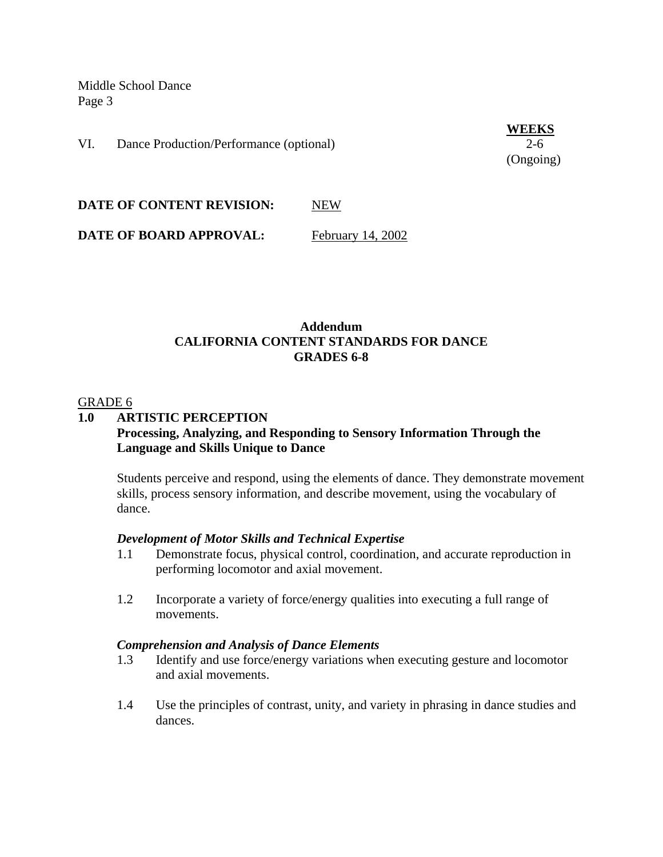VI. Dance Production/Performance (optional) 2-6

**WEEKS** (Ongoing)

**DATE OF CONTENT REVISION:** NEW

**DATE OF BOARD APPROVAL:** February 14, 2002

## **Addendum CALIFORNIA CONTENT STANDARDS FOR DANCE GRADES 6-8**

#### GRADE 6

## **1.0 ARTISTIC PERCEPTION Processing, Analyzing, and Responding to Sensory Information Through the Language and Skills Unique to Dance**

Students perceive and respond, using the elements of dance. They demonstrate movement skills, process sensory information, and describe movement, using the vocabulary of dance.

#### *Development of Motor Skills and Technical Expertise*

- 1.1 Demonstrate focus, physical control, coordination, and accurate reproduction in performing locomotor and axial movement.
- 1.2 Incorporate a variety of force/energy qualities into executing a full range of movements.

#### *Comprehension and Analysis of Dance Elements*

- 1.3 Identify and use force/energy variations when executing gesture and locomotor and axial movements.
- 1.4 Use the principles of contrast, unity, and variety in phrasing in dance studies and dances.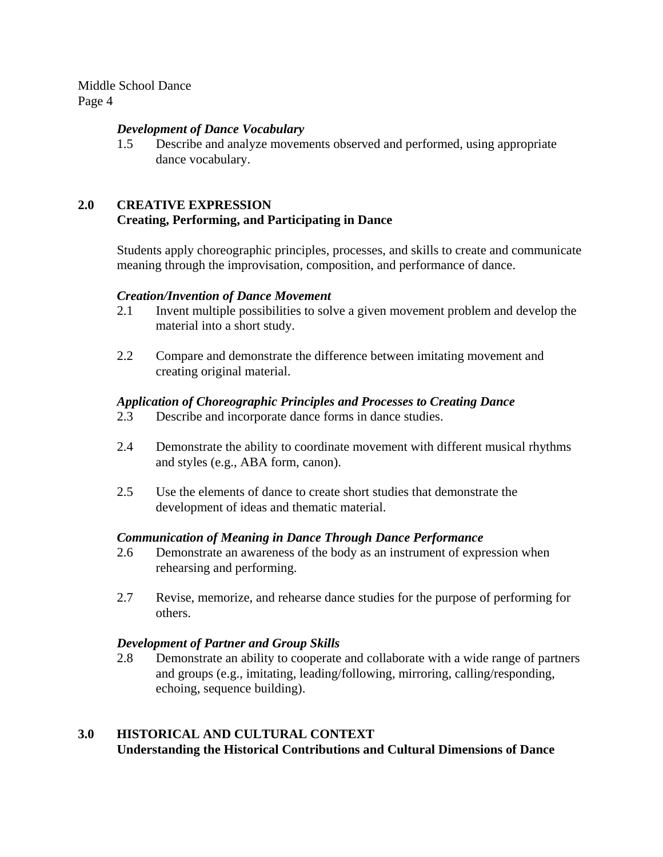#### *Development of Dance Vocabulary*

1.5 Describe and analyze movements observed and performed, using appropriate dance vocabulary.

# **2.0 CREATIVE EXPRESSION Creating, Performing, and Participating in Dance**

Students apply choreographic principles, processes, and skills to create and communicate meaning through the improvisation, composition, and performance of dance.

#### *Creation/Invention of Dance Movement*

- 2.1 Invent multiple possibilities to solve a given movement problem and develop the material into a short study.
- 2.2 Compare and demonstrate the difference between imitating movement and creating original material.

## *Application of Choreographic Principles and Processes to Creating Dance*

- 2.3 Describe and incorporate dance forms in dance studies.
- 2.4 Demonstrate the ability to coordinate movement with different musical rhythms and styles (e.g., ABA form, canon).
- 2.5 Use the elements of dance to create short studies that demonstrate the development of ideas and thematic material.

#### *Communication of Meaning in Dance Through Dance Performance*

- 2.6 Demonstrate an awareness of the body as an instrument of expression when rehearsing and performing.
- 2.7 Revise, memorize, and rehearse dance studies for the purpose of performing for others.

#### *Development of Partner and Group Skills*

2.8 Demonstrate an ability to cooperate and collaborate with a wide range of partners and groups (e.g., imitating, leading/following, mirroring, calling/responding, echoing, sequence building).

# **3.0 HISTORICAL AND CULTURAL CONTEXT Understanding the Historical Contributions and Cultural Dimensions of Dance**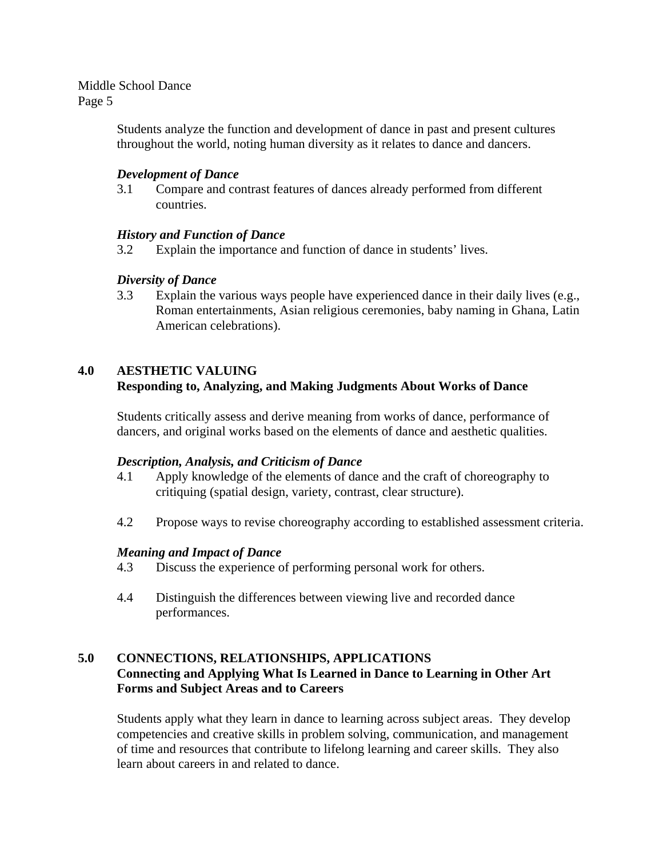> Students analyze the function and development of dance in past and present cultures throughout the world, noting human diversity as it relates to dance and dancers.

## *Development of Dance*

3.1 Compare and contrast features of dances already performed from different countries.

## *History and Function of Dance*

3.2 Explain the importance and function of dance in students' lives.

## *Diversity of Dance*

3.3 Explain the various ways people have experienced dance in their daily lives (e.g., Roman entertainments, Asian religious ceremonies, baby naming in Ghana, Latin American celebrations).

## **4.0 AESTHETIC VALUING**

# **Responding to, Analyzing, and Making Judgments About Works of Dance**

Students critically assess and derive meaning from works of dance, performance of dancers, and original works based on the elements of dance and aesthetic qualities.

#### *Description, Analysis, and Criticism of Dance*

- 4.1 Apply knowledge of the elements of dance and the craft of choreography to critiquing (spatial design, variety, contrast, clear structure).
- 4.2 Propose ways to revise choreography according to established assessment criteria.

#### *Meaning and Impact of Dance*

- 4.3 Discuss the experience of performing personal work for others.
- 4.4 Distinguish the differences between viewing live and recorded dance performances.

# **5.0 CONNECTIONS, RELATIONSHIPS, APPLICATIONS Connecting and Applying What Is Learned in Dance to Learning in Other Art Forms and Subject Areas and to Careers**

Students apply what they learn in dance to learning across subject areas. They develop competencies and creative skills in problem solving, communication, and management of time and resources that contribute to lifelong learning and career skills. They also learn about careers in and related to dance.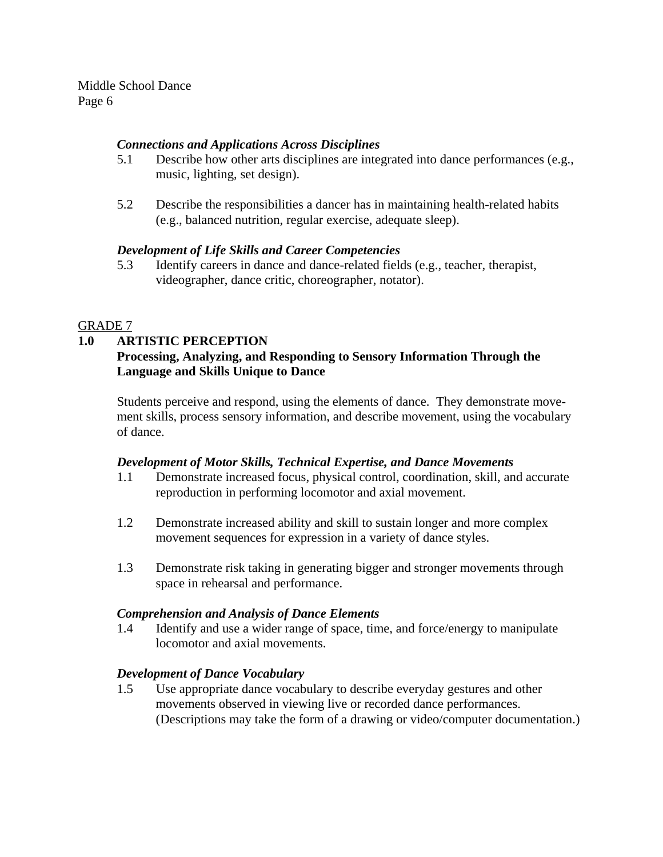# *Connections and Applications Across Disciplines*

- 5.1 Describe how other arts disciplines are integrated into dance performances (e.g., music, lighting, set design).
- 5.2 Describe the responsibilities a dancer has in maintaining health-related habits (e.g., balanced nutrition, regular exercise, adequate sleep).

# *Development of Life Skills and Career Competencies*

5.3 Identify careers in dance and dance-related fields (e.g., teacher, therapist, videographer, dance critic, choreographer, notator).

# GRADE 7

# **1.0 ARTISTIC PERCEPTION Processing, Analyzing, and Responding to Sensory Information Through the Language and Skills Unique to Dance**

Students perceive and respond, using the elements of dance. They demonstrate movement skills, process sensory information, and describe movement, using the vocabulary of dance.

## *Development of Motor Skills, Technical Expertise, and Dance Movements*

- 1.1 Demonstrate increased focus, physical control, coordination, skill, and accurate reproduction in performing locomotor and axial movement.
- 1.2 Demonstrate increased ability and skill to sustain longer and more complex movement sequences for expression in a variety of dance styles.
- 1.3 Demonstrate risk taking in generating bigger and stronger movements through space in rehearsal and performance.

# *Comprehension and Analysis of Dance Elements*

1.4 Identify and use a wider range of space, time, and force/energy to manipulate locomotor and axial movements.

# *Development of Dance Vocabulary*

1.5 Use appropriate dance vocabulary to describe everyday gestures and other movements observed in viewing live or recorded dance performances. (Descriptions may take the form of a drawing or video/computer documentation.)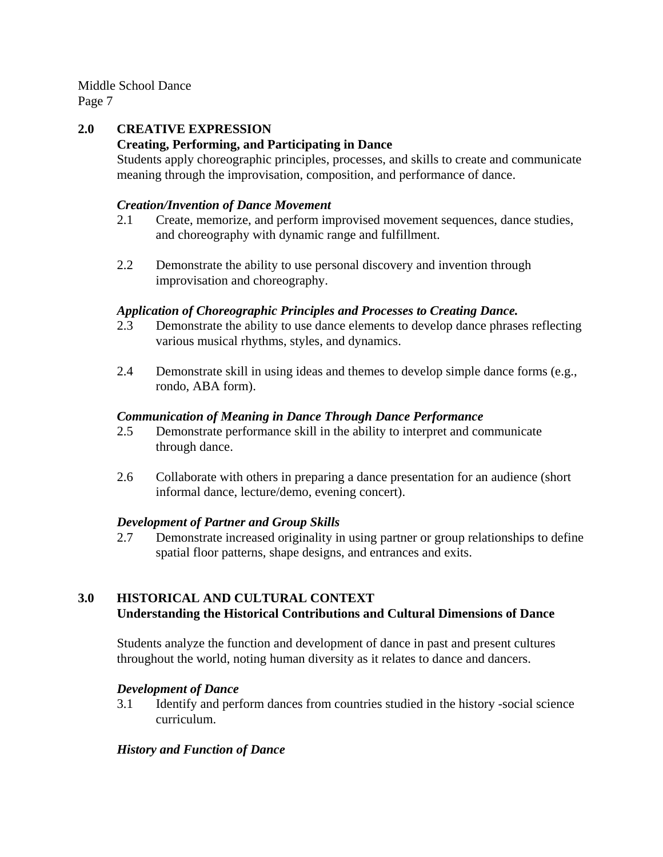# **2.0 CREATIVE EXPRESSION Creating, Performing, and Participating in Dance**

Students apply choreographic principles, processes, and skills to create and communicate meaning through the improvisation, composition, and performance of dance.

## *Creation/Invention of Dance Movement*

- 2.1 Create, memorize, and perform improvised movement sequences, dance studies, and choreography with dynamic range and fulfillment.
- 2.2 Demonstrate the ability to use personal discovery and invention through improvisation and choreography.

## *Application of Choreographic Principles and Processes to Creating Dance.*

- 2.3 Demonstrate the ability to use dance elements to develop dance phrases reflecting various musical rhythms, styles, and dynamics.
- 2.4 Demonstrate skill in using ideas and themes to develop simple dance forms (e.g., rondo, ABA form).

## *Communication of Meaning in Dance Through Dance Performance*

- 2.5 Demonstrate performance skill in the ability to interpret and communicate through dance.
- 2.6 Collaborate with others in preparing a dance presentation for an audience (short informal dance, lecture/demo, evening concert).

#### *Development of Partner and Group Skills*

2.7 Demonstrate increased originality in using partner or group relationships to define spatial floor patterns, shape designs, and entrances and exits.

# **3.0 HISTORICAL AND CULTURAL CONTEXT Understanding the Historical Contributions and Cultural Dimensions of Dance**

Students analyze the function and development of dance in past and present cultures throughout the world, noting human diversity as it relates to dance and dancers.

## *Development of Dance*

3.1 Identify and perform dances from countries studied in the history -social science curriculum.

## *History and Function of Dance*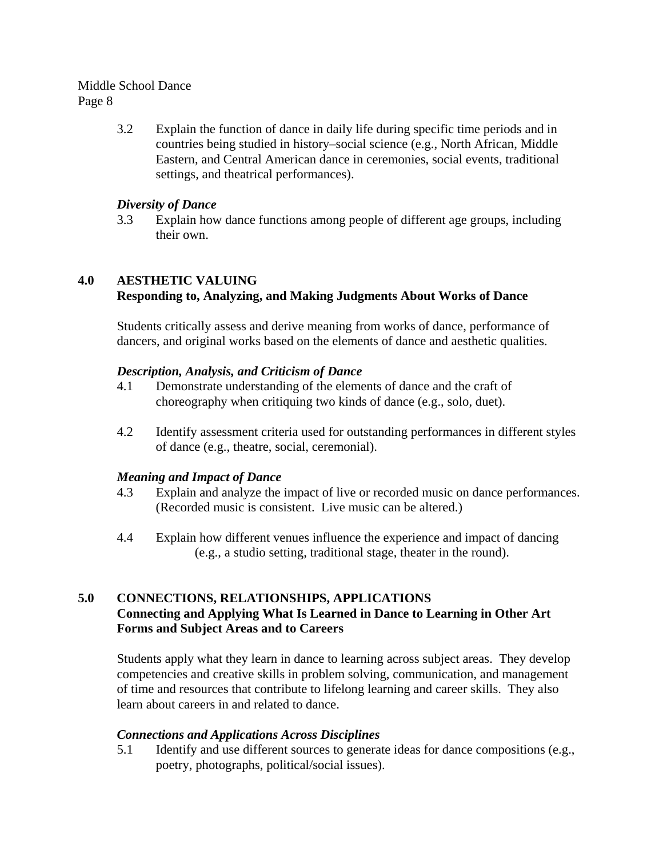3.2 Explain the function of dance in daily life during specific time periods and in countries being studied in history–social science (e.g., North African, Middle Eastern, and Central American dance in ceremonies, social events, traditional settings, and theatrical performances).

## *Diversity of Dance*

3.3 Explain how dance functions among people of different age groups, including their own.

# **4.0 AESTHETIC VALUING Responding to, Analyzing, and Making Judgments About Works of Dance**

Students critically assess and derive meaning from works of dance, performance of dancers, and original works based on the elements of dance and aesthetic qualities.

## *Description, Analysis, and Criticism of Dance*

- 4.1 Demonstrate understanding of the elements of dance and the craft of choreography when critiquing two kinds of dance (e.g., solo, duet).
- 4.2 Identify assessment criteria used for outstanding performances in different styles of dance (e.g., theatre, social, ceremonial).

## *Meaning and Impact of Dance*

- 4.3 Explain and analyze the impact of live or recorded music on dance performances. (Recorded music is consistent. Live music can be altered.)
- 4.4 Explain how different venues influence the experience and impact of dancing (e.g., a studio setting, traditional stage, theater in the round).

# **5.0 CONNECTIONS, RELATIONSHIPS, APPLICATIONS Connecting and Applying What Is Learned in Dance to Learning in Other Art Forms and Subject Areas and to Careers**

Students apply what they learn in dance to learning across subject areas. They develop competencies and creative skills in problem solving, communication, and management of time and resources that contribute to lifelong learning and career skills. They also learn about careers in and related to dance.

## *Connections and Applications Across Disciplines*

5.1 Identify and use different sources to generate ideas for dance compositions (e.g., poetry, photographs, political/social issues).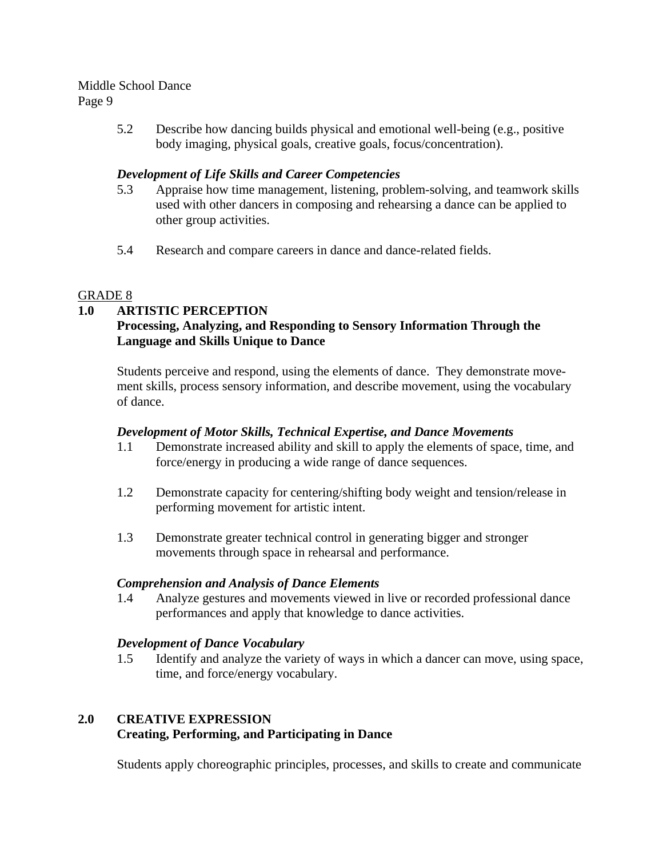5.2 Describe how dancing builds physical and emotional well-being (e.g., positive body imaging, physical goals, creative goals, focus/concentration).

# *Development of Life Skills and Career Competencies*

- 5.3 Appraise how time management, listening, problem-solving, and teamwork skills used with other dancers in composing and rehearsing a dance can be applied to other group activities.
- 5.4 Research and compare careers in dance and dance-related fields.

# GRADE 8

# **1.0 ARTISTIC PERCEPTION**

# **Processing, Analyzing, and Responding to Sensory Information Through the Language and Skills Unique to Dance**

Students perceive and respond, using the elements of dance. They demonstrate movement skills, process sensory information, and describe movement, using the vocabulary of dance.

## *Development of Motor Skills, Technical Expertise, and Dance Movements*

- 1.1 Demonstrate increased ability and skill to apply the elements of space, time, and force/energy in producing a wide range of dance sequences.
- 1.2 Demonstrate capacity for centering/shifting body weight and tension/release in performing movement for artistic intent.
- 1.3 Demonstrate greater technical control in generating bigger and stronger movements through space in rehearsal and performance.

## *Comprehension and Analysis of Dance Elements*

1.4 Analyze gestures and movements viewed in live or recorded professional dance performances and apply that knowledge to dance activities.

## *Development of Dance Vocabulary*

1.5 Identify and analyze the variety of ways in which a dancer can move, using space, time, and force/energy vocabulary.

# **2.0 CREATIVE EXPRESSION Creating, Performing, and Participating in Dance**

Students apply choreographic principles, processes, and skills to create and communicate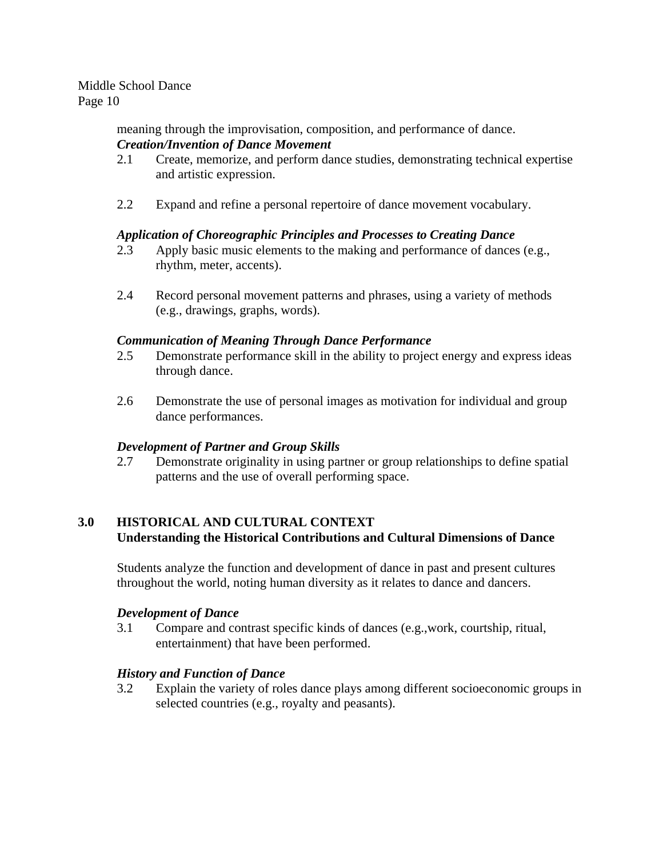> meaning through the improvisation, composition, and performance of dance. *Creation/Invention of Dance Movement*

- 2.1 Create, memorize, and perform dance studies, demonstrating technical expertise and artistic expression.
- 2.2 Expand and refine a personal repertoire of dance movement vocabulary.

## *Application of Choreographic Principles and Processes to Creating Dance*

- 2.3 Apply basic music elements to the making and performance of dances (e.g., rhythm, meter, accents).
- 2.4 Record personal movement patterns and phrases, using a variety of methods (e.g., drawings, graphs, words).

#### *Communication of Meaning Through Dance Performance*

- 2.5 Demonstrate performance skill in the ability to project energy and express ideas through dance.
- 2.6 Demonstrate the use of personal images as motivation for individual and group dance performances.

#### *Development of Partner and Group Skills*

2.7 Demonstrate originality in using partner or group relationships to define spatial patterns and the use of overall performing space.

## **3.0 HISTORICAL AND CULTURAL CONTEXT Understanding the Historical Contributions and Cultural Dimensions of Dance**

Students analyze the function and development of dance in past and present cultures throughout the world, noting human diversity as it relates to dance and dancers.

#### *Development of Dance*

3.1 Compare and contrast specific kinds of dances (e.g.,work, courtship, ritual, entertainment) that have been performed.

## *History and Function of Dance*

3.2 Explain the variety of roles dance plays among different socioeconomic groups in selected countries (e.g., royalty and peasants).